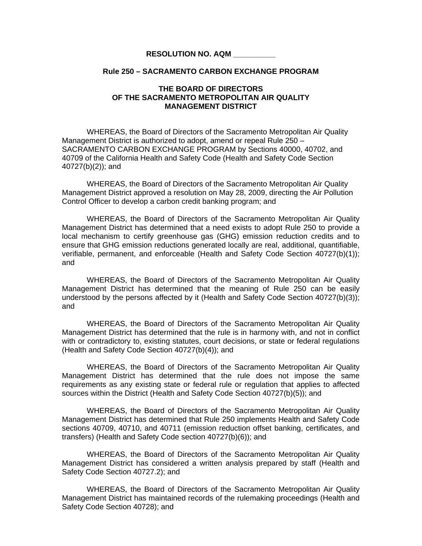## **RESOLUTION NO. AQM \_\_\_\_\_\_\_\_\_\_**

## **Rule 250 – SACRAMENTO CARBON EXCHANGE PROGRAM**

## **THE BOARD OF DIRECTORS OF THE SACRAMENTO METROPOLITAN AIR QUALITY MANAGEMENT DISTRICT**

WHEREAS, the Board of Directors of the Sacramento Metropolitan Air Quality Management District is authorized to adopt, amend or repeal Rule 250 – SACRAMENTO CARBON EXCHANGE PROGRAM by Sections 40000, 40702, and 40709 of the California Health and Safety Code (Health and Safety Code Section 40727(b)(2)); and

WHEREAS, the Board of Directors of the Sacramento Metropolitan Air Quality Management District approved a resolution on May 28, 2009, directing the Air Pollution Control Officer to develop a carbon credit banking program; and

 WHEREAS, the Board of Directors of the Sacramento Metropolitan Air Quality Management District has determined that a need exists to adopt Rule 250 to provide a local mechanism to certify greenhouse gas (GHG) emission reduction credits and to ensure that GHG emission reductions generated locally are real, additional, quantifiable, verifiable, permanent, and enforceable (Health and Safety Code Section 40727(b)(1)); and

 WHEREAS, the Board of Directors of the Sacramento Metropolitan Air Quality Management District has determined that the meaning of Rule 250 can be easily understood by the persons affected by it (Health and Safety Code Section 40727(b)(3)); and

 WHEREAS, the Board of Directors of the Sacramento Metropolitan Air Quality Management District has determined that the rule is in harmony with, and not in conflict with or contradictory to, existing statutes, court decisions, or state or federal regulations (Health and Safety Code Section 40727(b)(4)); and

 WHEREAS, the Board of Directors of the Sacramento Metropolitan Air Quality Management District has determined that the rule does not impose the same requirements as any existing state or federal rule or regulation that applies to affected sources within the District (Health and Safety Code Section 40727(b)(5)); and

WHEREAS, the Board of Directors of the Sacramento Metropolitan Air Quality Management District has determined that Rule 250 implements Health and Safety Code sections 40709, 40710, and 40711 (emission reduction offset banking, certificates, and transfers) (Health and Safety Code section 40727(b)(6)); and

WHEREAS, the Board of Directors of the Sacramento Metropolitan Air Quality Management District has considered a written analysis prepared by staff (Health and Safety Code Section 40727.2); and

WHEREAS, the Board of Directors of the Sacramento Metropolitan Air Quality Management District has maintained records of the rulemaking proceedings (Health and Safety Code Section 40728); and